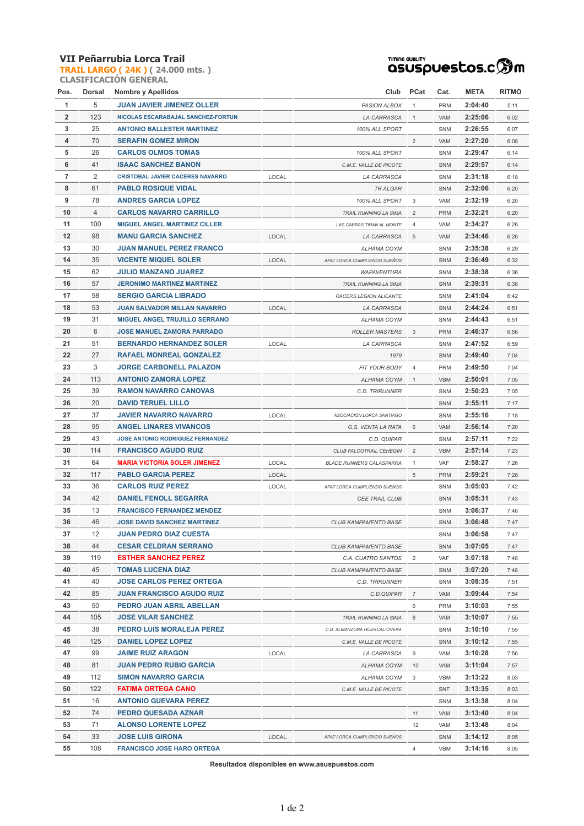## **VII Peñarrubia Lorca Trail**

**TRAIL LARGO ( 24K ) ( 24.000 mts. ) CLASIFICACIÓN GENERAL**



| Pos.           | Dorsal | <b>Nombre y Apellidos</b>               |       | Club                            | PCat           | Cat.       | <b>META</b> | <b>RITMO</b> |
|----------------|--------|-----------------------------------------|-------|---------------------------------|----------------|------------|-------------|--------------|
| 1              | 5      | <b>JUAN JAVIER JIMENEZ OLLER</b>        |       | PASION ALBOX                    | $\mathbf{1}$   | <b>PRM</b> | 2:04:40     | 5:11         |
| $\overline{2}$ | 123    | NICOLAS ESCARABAJAL SANCHEZ-FORTUN      |       | LA CARRASCA                     | $\mathbf{1}$   | VAM        | 2:25:06     | 6:02         |
| 3              | 25     | <b>ANTONIO BALLESTER MARTINEZ</b>       |       | 100% ALL SPORT                  |                | <b>SNM</b> | 2:26:55     | 6:07         |
| 4              | 70     | <b>SERAFIN GOMEZ MIRON</b>              |       |                                 | $\overline{2}$ | VAM        | 2:27:20     | 6:08         |
| 5              | 26     | <b>CARLOS OLMOS TOMAS</b>               |       | 100% ALL SPORT                  |                | <b>SNM</b> | 2:29:47     | 6:14         |
| 6              | 41     | <b>ISAAC SANCHEZ BANON</b>              |       | C.M.E. VALLE DE RICOTE          |                | SNM        | 2:29:57     | 6:14         |
| $\overline{7}$ | 2      | <b>CRISTOBAL JAVIER CACERES NAVARRO</b> | LOCAL | LA CARRASCA                     |                | SNM        | 2:31:18     | 6:18         |
| 8              | 61     | <b>PABLO ROSIQUE VIDAL</b>              |       | <b>TR ALGAR</b>                 |                | SNM        | 2:32:06     | 6:20         |
| 9              | 78     | <b>ANDRES GARCIA LOPEZ</b>              |       | 100% ALL SPORT                  | 3              | VAM        | 2:32:19     | 6:20         |
| 10             | 4      | <b>CARLOS NAVARRO CARRILLO</b>          |       | TRAIL RUNNING LA SIMA           | 2              | <b>PRM</b> | 2:32:21     | 6:20         |
| 11             | 100    | <b>MIGUEL ANGEL MARTINEZ CILLER</b>     |       | LAS CABRAS TIRAN AL MONTE       | 4              | VAM        | 2:34:27     | 6:26         |
| 12             | 98     | <b>MANU GARCIA SANCHEZ</b>              | LOCAL | LA CARRASCA                     | 5              | VAM        | 2:34:46     | 6:26         |
| 13             | 30     | <b>JUAN MANUEL PEREZ FRANCO</b>         |       | ALHAMA COYM                     |                | SNM        | 2:35:38     | 6:29         |
| 14             | 35     | <b>VICENTE MIQUEL SOLER</b>             | LOCAL | APAT LORCA CUMPLIENDO SUEÑOS    |                | SNM        | 2:36:49     | 6:32         |
| 15             | 62     | <b>JULIO MANZANO JUAREZ</b>             |       | <b>WAPAVENTURA</b>              |                | SNM        | 2:38:38     | 6:36         |
| 16             | 57     | <b>JERONIMO MARTINEZ MARTINEZ</b>       |       | TRAIL RUNNING LA SIMA           |                | SNM        | 2:39:31     | 6:38         |
| 17             | 58     | <b>SERGIO GARCIA LIBRADO</b>            |       | RACERS LEGION ALICANTE          |                | SNM        | 2:41:04     | 6:42         |
| 18             | 53     | <b>JUAN SALVADOR MILLAN NAVARRO</b>     | LOCAL | LA CARRASCA                     |                | SNM        | 2:44:24     | 6:51         |
| 19             | 31     | <b>MIGUEL ANGEL TRUJILLO SERRANO</b>    |       | ALHAMA COYM                     |                | SNM        | 2:44:43     | 6:51         |
| 20             | 6      | <b>JOSE MANUEL ZAMORA PARRADO</b>       |       | <b>ROLLER MASTERS</b>           | 3              | <b>PRM</b> | 2:46:37     | 6:56         |
| 21             | 51     | <b>BERNARDO HERNANDEZ SOLER</b>         | LOCAL | LA CARRASCA                     |                | SNM        | 2:47:52     | 6:59         |
| 22             | 27     | <b>RAFAEL MONREAL GONZALEZ</b>          |       | 1979                            |                | SNM        | 2:49:40     | 7:04         |
| 23             | 3      | <b>JORGE CARBONELL PALAZON</b>          |       | FIT YOUR BODY                   | $\overline{4}$ | <b>PRM</b> | 2:49:50     | 7:04         |
| 24             | 113    | <b>ANTONIO ZAMORA LOPEZ</b>             |       | ALHAMA COYM                     | $\mathbf{1}$   | <b>VBM</b> | 2:50:01     | 7:05         |
| 25             | 39     | <b>RAMON NAVARRO CANOVAS</b>            |       | <b>C.D. TRIRUNNER</b>           |                | SNM        | 2:50:23     | 7:05         |
| 26             | 20     | <b>DAVID TERUEL LILLO</b>               |       |                                 |                | SNM        | 2:55:11     | 7:17         |
| 27             | 37     | <b>JAVIER NAVARRO NAVARRO</b>           | LOCAL | ASOCIACIÓN LORCA SANTIAGO       |                | SNM        | 2:55:16     | 7:18         |
| 28             | 95     | <b>ANGEL LINARES VIVANCOS</b>           |       | G.S. VENTA LA RATA              | 6              | VAM        | 2:56:14     | 7:20         |
| 29             | 43     | <b>JOSE ANTONIO RODRIGUEZ FERNANDEZ</b> |       | C.D. QUIPAR                     |                | SNM        | 2:57:11     | 7:22         |
| 30             | 114    | <b>FRANCISCO AGUDO RUIZ</b>             |       | CLUB FALCOTRAIL CEHEGIN         | $\overline{2}$ | <b>VBM</b> | 2:57:14     | 7:23         |
| 31             | 64     | <b>MARIA VICTORIA SOLER JIMENEZ</b>     | LOCAL | <b>BLADE RUNNERS CALASPARRA</b> | $\mathbf{1}$   | VAF        | 2:58:27     | 7:26         |
| 32             | 117    | <b>PABLO GARCIA PEREZ</b>               | LOCAL |                                 | 5              | <b>PRM</b> | 2:59:21     | 7:28         |
| 33             | 36     | <b>CARLOS RUIZ PEREZ</b>                | LOCAL | APAT LORCA CUMPLIENDO SUEÑOS    |                | SNM        | 3:05:03     | 7:42         |
| 34             | 42     | <b>DANIEL FENOLL SEGARRA</b>            |       | <b>CEE TRAIL CLUB</b>           |                | SNM        | 3:05:31     | 7:43         |
| 35             | 13     | <b>FRANCISCO FERNANDEZ MENDEZ</b>       |       |                                 |                | SNM        | 3:06:37     | 7:46         |
| 36             | 46     | <b>JOSE DAVID SANCHEZ MARTINEZ</b>      |       | CLUB KAMPAMENTO BASE            |                | SNM        | 3:06:48     | 7:47         |
| 37             | 12     | <b>JUAN PEDRO DIAZ CUESTA</b>           |       |                                 |                | SNM        | 3:06:58     | 7:47         |
| 38             | 44     | <b>CESAR CELDRAN SERRANO</b>            |       | CLUB KAMPAMENTO BASE            |                | SNM        | 3:07:05     | 7:47         |
| 39             | 119    | <b>ESTHER SANCHEZ PEREZ</b>             |       | C.A. CUATRO SANTOS              | 2              | VAF        | 3:07:18     | 7:48         |
| 40             | 45     | <b>TOMAS LUCENA DIAZ</b>                |       | CLUB KAMPAMENTO BASE            |                | SNM        | 3:07:20     | 7:48         |
| 41             | 40     | <b>JOSE CARLOS PEREZ ORTEGA</b>         |       | C.D. TRIRUNNER                  |                | SNM        | 3:08:35     | 7:51         |
| 42             | 85     | <b>JUAN FRANCISCO AGUDO RUIZ</b>        |       | C.D.QUIPAR                      | $\overline{7}$ | VAM        | 3:09:44     | 7:54         |
| 43             | 50     | PEDRO JUAN ABRIL ABELLAN                |       |                                 | 6              | <b>PRM</b> | 3:10:03     | 7:55         |
| 44             | 105    | <b>JOSE VILAR SANCHEZ</b>               |       | TRAIL RUNNING LA SIMA           | 8              | VAM        | 3:10:07     | 7:55         |
| 45             | 38     | PEDRO LUIS MORALEJA PEREZ               |       | C.D. ALMANZORA HUERCAL-OVERA    |                | SNM        | 3:10:10     | 7:55         |
| 46             | 125    | <b>DANIEL LOPEZ LOPEZ</b>               |       | C.M.E. VALLE DE RICOTE          |                | <b>SNM</b> | 3:10:12     | 7:55         |
| 47             | 99     | <b>JAIME RUIZ ARAGON</b>                | LOCAL | LA CARRASCA                     | 9              | VAM        | 3:10:28     | 7:56         |
| 48             | 81     | <b>JUAN PEDRO RUBIO GARCIA</b>          |       | ALHAMA COYM                     | 10             | VAM        | 3:11:04     | 7:57         |
| 49             | 112    | <b>SIMON NAVARRO GARCIA</b>             |       | ALHAMA COYM                     | 3              | <b>VBM</b> | 3:13:22     | 8:03         |
| 50             | 122    | FATIMA ORTEGA CANO                      |       | C.M.E. VALLE DE RICOTE          |                | <b>SNF</b> | 3:13:35     | 8:03         |
| 51             | 16     | <b>ANTONIO GUEVARA PEREZ</b>            |       |                                 |                | SNM        | 3:13:38     | 8:04         |
| 52             | 74     | PEDRO QUESADA AZNAR                     |       |                                 | 11             | VAM        | 3:13:40     | 8:04         |
| 53             | 71     | <b>ALONSO LORENTE LOPEZ</b>             |       |                                 | 12             | VAM        | 3:13:48     | 8:04         |
| 54             | 33     | <b>JOSE LUIS GIRONA</b>                 | LOCAL | APAT LORCA CUMPLIENDO SUEÑOS    |                | SNM        | 3:14:12     | 8:05         |
| 55             | 108    | <b>FRANCISCO JOSE HARO ORTEGA</b>       |       |                                 | 4              | VBM        | 3:14:16     | 8:05         |

**Resultados disponibles en www.asuspuestos.com**